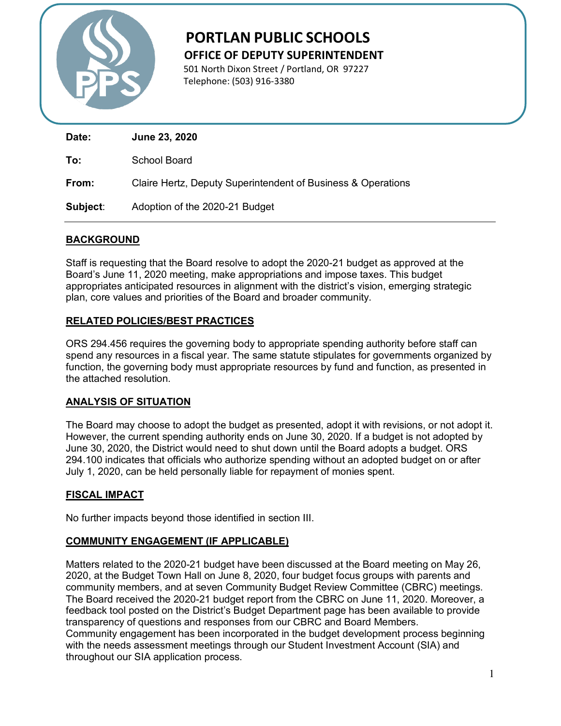

# **PORTLAN PUBLIC SCHOOLS OFFICE OF DEPUTY SUPERINTENDENT**

 501 North Dixon Street / Portland, OR 97227 Telephone: (503) 916-3380

| Date:    | June 23, 2020                                                |
|----------|--------------------------------------------------------------|
| To:      | School Board                                                 |
| From:    | Claire Hertz, Deputy Superintendent of Business & Operations |
| Subject: | Adoption of the 2020-21 Budget                               |

# **BACKGROUND**

Staff is requesting that the Board resolve to adopt the 2020-21 budget as approved at the Board's June 11, 2020 meeting, make appropriations and impose taxes. This budget appropriates anticipated resources in alignment with the district's vision, emerging strategic plan, core values and priorities of the Board and broader community.

## **RELATED POLICIES/BEST PRACTICES**

ORS 294.456 requires the governing body to appropriate spending authority before staff can spend any resources in a fiscal year. The same statute stipulates for governments organized by function, the governing body must appropriate resources by fund and function, as presented in the attached resolution.

# **ANALYSIS OF SITUATION**

The Board may choose to adopt the budget as presented, adopt it with revisions, or not adopt it. However, the current spending authority ends on June 30, 2020. If a budget is not adopted by June 30, 2020, the District would need to shut down until the Board adopts a budget. ORS 294.100 indicates that officials who authorize spending without an adopted budget on or after July 1, 2020, can be held personally liable for repayment of monies spent.

# **FISCAL IMPACT**

No further impacts beyond those identified in section III.

## **COMMUNITY ENGAGEMENT (IF APPLICABLE)**

Matters related to the 2020-21 budget have been discussed at the Board meeting on May 26, 2020, at the Budget Town Hall on June 8, 2020, four budget focus groups with parents and community members, and at seven Community Budget Review Committee (CBRC) meetings. The Board received the 2020-21 budget report from the CBRC on June 11, 2020. Moreover, a feedback tool posted on the District's Budget Department page has been available to provide transparency of questions and responses from our CBRC and Board Members. Community engagement has been incorporated in the budget development process beginning with the needs assessment meetings through our Student Investment Account (SIA) and throughout our SIA application process.